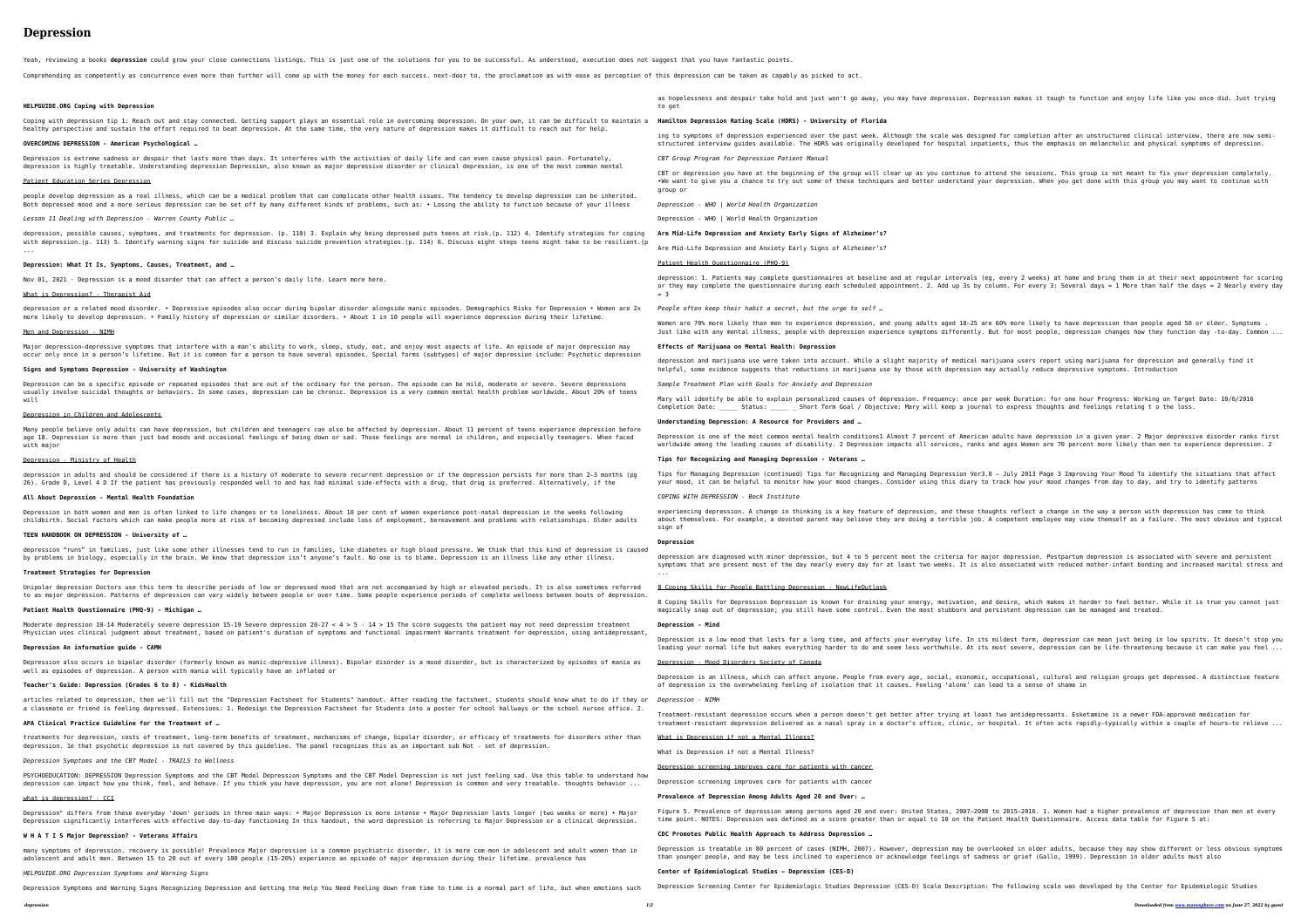# **Depression**

Yeah, reviewing a books **depression** could grow your close connections listings. This is just one of the solutions for you to be successful. As understood, execution does not suggest that you have fantastic points.

Comprehending as competently as concurrence even more than further will come up with the money for each success. next-door to, the proclamation as with ease as perception of this depression can be taken as capably as picke

### **HELPGUIDE.ORG Coping with Depression**

Coping with depression tip 1: Reach out and stay connected. Getting support plays an essential role in overcoming depression. On healthy perspective and sustain the effort required to beat depression. At the same time, the very nature of depression makes it

### **OVERCOMING DEPRESSION - American Psychological …**

Depression is extreme sadness or despair that lasts more than days. It interferes with the activities of daily life and can even depression is highly treatable. Understanding depression Depression, also known as major depressive disorder or clinical depressio

depression, possible causes, symptoms, and treatments for depression. (p. 110) 3. Explain why being depressed puts teens at risk. with depression.(p. 113) 5. Identify warning signs for suicide and discuss suicide prevention strategies.(p. 114) 6. Discuss eight ...

### Patient Education Series Depression

people develop depression as a real illness, which can be a medical problem that can complicate other health issues. The tendency Both depressed mood and a more serious depression can be set off by many different kinds of problems, such as: • Losing the abilit

Depression can be a specific episode or repeated episodes that are out of the ordinary for the person. The episode can be mild, mo usually involve suicidal thoughts or behaviors. In some cases, depression can be chronic. Depression is a very common mental heal will

*Lesson 11 Dealing with Depression - Warren County Public …*

Many people believe only adults can have depression, but children and teenagers can also be affected by depression. About 11 perce age 18. Depression is more than just bad moods and occasional feelings of being down or sad. Those feelings are normal in children with major

#### **Depression: What It Is, Symptoms, Causes, Treatment, and …**

Nov 01, 2021 · Depression is a mood disorder that can affect a person's daily life. Learn more here.

#### What is Depression? - Therapist Aid

depression or a related mood disorder. • Depressive episodes also occur during bipolar disorder alongside manic episodes. Demograp more likely to develop depression. • Family history of depression or similar disorders. • About 1 in 10 people will experience dep

#### Men and Depression - NIMH

Major depression—depressive symptoms that interfere with a man's ability to work, sleep, study, eat, and enjoy most aspects of lit occur only once in a person's lifetime. But it is common for a person to have several episodes. Special forms (subtypes) of major

Depression also occurs in bipolar disorder (formerly known as manic-depressive illness). Bipolar disorder is a mood disorder, but well as episodes of depression. A person with mania will typically have an inflated or

#### **Signs and Symptoms Depression - University of Washington**

#### Depression in Children and Adolescents

#### Depression - Ministry of Health

depression in adults and should be considered if there is a history of moderate to severe recurrent depression or if the depressio 26). Grade D, Level 4 D If the patient has previously responded well to and has had minimal side-effects with a drug, that drug is

many symptoms of depression. recovery is possible! Prevalence Major depression is a common psychiatric disorder. it is more com-mo adolescent and adult men. Between 15 to 20 out of every 100 people (15-20%) experience an episode of major depression during their lifetime. prevalence has

#### **All About Depression - Mental Health Foundation**

Depression in both women and men is often linked to life changes or to loneliness. About 10 per cent of women experience post-nata childbirth. Social factors which can make people more at risk of becoming depressed include loss of employment, bereavement and pro

**TEEN HANDBOOK ON DEPRESSION - University of …**

depression "runs" in families, just like some other illnesses tend to run in families, like diabetes or high blood pressure. We th by problems in biology, especially in the brain. We know that depression isn't anyone's fault. No one is to blame. Depression is

### **Treatment Strategies for Depression**

Unipolar depression Doctors use this term to describe periods of low or depressed mood that are not accompanied by high or elevate to as major depression. Patterns of depression can vary widely between people or over time. Some people experience periods of comp

**Patient Health Questionnaire (PHQ-9) - Michigan …**

Moderate depression 10-14 Moderately severe depression 15-19 Severe depression 20-27 < 4 > 5 - 14 > 15 The score suggests the pati Physician uses clinical judgment about treatment, based on patient's duration of symptoms and functional impairment Warrants treat

#### **Depression An information guide - CAMH**

#### **Teacher's Guide: Depression (Grades 6 to 8) - KidsHealth**

articles related to depression, then we'll fill out the "Depression Factsheet for Students" handout. After reading the factsheet, a classmate or friend is feeling depressed. Extensions: 1. Redesign the Depression Factsheet for Students into a poster for school

### **APA Clinical Practice Guideline for the Treatment of …**

treatments for depression, costs of treatment, long-term benefits of treatment, mechanisms of change, bipolar disorder, or efficad depression. 1e that psychotic depression is not covered by this guideline. The panel recognizes this as an important sub Not - set

*Depression Symptoms and the CBT Model - TRAILS to Wellness*

PSYCHOEDUCATION: DEPRESSION Depression Symptoms and the CBT Model Depression Symptoms and the CBT Model Depression is not just fee depression can impact how you think, feel, and behave. If you think you have depression, you are not alone! Depression is common

#### what is depression? - CCI

Depression" differs from these everyday 'down' periods in three main ways: • Major Depression is more intense • Major Depression Depression significantly interferes with effective day-to-day functioning In this handout, the word depression is referring to Maj

> rerlooked in older adults, because they may show different or less obvious symptoms than younger people, and may be less inclined to experience or acknowledge feelings of sadness or grief (Gallo, 1999). Depression in older adults must also

### **W H A T I S Major Depression? - Veterans Affairs**

*HELPGUIDE.ORG Depression Symptoms and Warning Signs*

|                                                                                           | as hopelessness and despair take hold and just won't go away, you may have depression. Dep<br>to get                                                                                                                           |
|-------------------------------------------------------------------------------------------|--------------------------------------------------------------------------------------------------------------------------------------------------------------------------------------------------------------------------------|
| your own, it can be difficult to maintain a<br>difficult to reach out for help.           | Hamilton Depression Rating Scale (HDRS) - University of Florida                                                                                                                                                                |
|                                                                                           | ing to symptoms of depression experienced over the past week. Although the scale was desig<br>structured interview guides available. The HDRS was originally developed for hospital inpa                                       |
| cause physical pain. Fortunately,<br>on, is one of the most common mental                 | CBT Group Program for Depression Patient Manual                                                                                                                                                                                |
|                                                                                           | CBT or depression you have at the beginning of the group will clear up as you continue to<br>.We want to give you a chance to try out some of these techniques and better understand yo<br>group or                            |
| to develop depression can be inherited.<br>ty to function because of your illness         | Depression - WHO   World Health Organization                                                                                                                                                                                   |
|                                                                                           | Depression - WHO   World Health Organization                                                                                                                                                                                   |
| (p. 112) 4. Identify strategies for coping<br>t steps teens might take to be resilient.(p | Are Mid-Life Depression and Anxiety Early Signs of Alzheimer's?                                                                                                                                                                |
|                                                                                           | Are Mid-Life Depression and Anxiety Early Signs of Alzheimer's?                                                                                                                                                                |
|                                                                                           | Patient Health Questionnaire (PHQ-9)                                                                                                                                                                                           |
|                                                                                           | depression: 1. Patients may complete questionnaires at baseline and at regular intervals (<br>or they may complete the questionnaire during each scheduled appointment. 2. Add up 3s by<br>$=$ 3                               |
| phics Risks for Depression • Women are 2x<br>pression during their lifetime.              | People often keep their habit a secret, but the urge to self                                                                                                                                                                   |
|                                                                                           | Women are 70% more likely than men to experience depression, and young adults aged 18-25 a<br>Just like with any mental illness, people with depression experience symptoms differently.                                       |
| fe. An episode of major depression may<br>depression include: Psychotic depression        | Effects of Marijuana on Mental Health: Depression                                                                                                                                                                              |
|                                                                                           | depression and marijuana use were taken into account. While a slight majority of medical m<br>helpful, some evidence suggests that reductions in marijuana use by those with depression                                        |
| oderate or severe. Severe depressions<br>th problem worldwide. About 20% of teens         | Sample Treatment Plan with Goals for Anxiety and Depression                                                                                                                                                                    |
|                                                                                           | Mary will identify be able to explain personalized causes of depression. Frequency: once p<br>Completion Date: _____ Status: _____ _ Short Term Goal / Objective: Mary will keep a journ                                       |
| ent of teens experience depression before<br>n, and especially teenagers. When faced      | Understanding Depression: A Resource for Providers and                                                                                                                                                                         |
|                                                                                           | Depression is one of the most common mental health conditions1 Almost 7 percent of America<br>worldwide among the leading causes of disability. 2 Depression impacts all services, ranks                                       |
|                                                                                           | Tips for Recognizing and Managing Depression - Veterans                                                                                                                                                                        |
| on persists for more than 2—3 months (pg<br>s preferred. Alternatively, if the            | Tips for Managing Depression (continued) Tips for Recognizing and Managing Depression Ver3<br>your mood, it can be helpful to monitor how your mood changes. Consider using this diary to                                      |
|                                                                                           | COPING WITH DEPRESSION - Beck Institute                                                                                                                                                                                        |
| al depression in the weeks following<br>roblems with relationships. Older adults          | experiencing depression. A change in thinking is a key feature of depression, and these the<br>about themselves. For example, a devoted parent may believe they are doing a terrible job.<br>sign of                           |
| hink that this kind of depression is caused<br>an illness like any other illness.         | Depression                                                                                                                                                                                                                     |
|                                                                                           | depression are diagnosed with minor depression, but 4 to 5 percent meet the criteria for m<br>symptoms that are present most of the day nearly every day for at least two weeks. It is a<br>$\mathbf{r}=\mathbf{r}+\mathbf{r}$ |
| ed periods. It is also sometimes referred<br>plete wellness between bouts of depression.  | 8 Coping Skills for People Battling Depression - NewLifeOutlook                                                                                                                                                                |
|                                                                                           | 8 Coping Skills for Depression Depression is known for draining your energy, motivation, a<br>magically snap out of depression; you still have some control. Even the most stubborn and                                        |
| ient may not need depression treatment<br>tment for depression, using antidepressant,     | Depression - Mind                                                                                                                                                                                                              |
|                                                                                           | Depression is a low mood that lasts for a long time, and affects your everyday life. In it<br>leading your normal life but makes everything harder to do and seem less worthwhile. At it                                       |
| is characterized by episodes of mania as                                                  | Depression - Mood Disorders Society of Canada                                                                                                                                                                                  |
|                                                                                           | Depression is an illness, which can affect anyone. People from every age, social, economic<br>of depression is the overwhelming feeling of isolation that it causes. Feeling 'alone' can                                       |
| students should know what to do if they or<br>l hallways or the school nurses office. 2.  | Depression - NIMH                                                                                                                                                                                                              |
|                                                                                           | Treatment-resistant depression occurs when a person doesn't get better after trying at lea<br>treatment-resistant depression delivered as a nasal spray in a doctor's office, clinic, or                                       |
| cy of treatments for disorders other than<br>t of depression.                             | What is Depression if not a Mental Illness?                                                                                                                                                                                    |
|                                                                                           | What is Depression if not a Mental Illness?                                                                                                                                                                                    |
| eling sad. Use this table to understand how<br>and very treatable. thoughts behavior      | Depression screening improves care for patients with cancer                                                                                                                                                                    |
|                                                                                           | Depression screening improves care for patients with cancer                                                                                                                                                                    |
|                                                                                           | Prevalence of Depression Among Adults Aged 20 and Over:                                                                                                                                                                        |
| lasts longer (two weeks or more) • Major<br>jor Depression or a clinical depression.      | Figure 5. Prevalence of depression among persons aged 20 and over: United States, 2007-200<br>time point. NOTES: Depression was defined as a score greater than or equal to 10 on the Pa                                       |
|                                                                                           | CDC Promotes Public Health Approach to Address Depression                                                                                                                                                                      |
| on in adolescent and adult women than in                                                  | Depression is treatable in 80 percent of cases (NIMH, 2007). However, depression may be ov                                                                                                                                     |

Depression Symptoms and Warning Signs Recognizing Depression and Getting the Help You Need Feeling down from time to time is a normal part of life, but when emotions such Depression Screening Center for Epidemiologic Studies Depression (CES-D) Scale Description: The following scale was developed by the Center for Epidemiologic Studies

## **Center of Epidemiological Studies — Depression (CES-D)**

pression makes it tough to function and enjoy life like you once did. Just trying

ined for completion after an unstructured clinical interview, there are now semiatients, thus the emphasis on melancholic and physical symptoms of depression.

attend the sessions. This group is not meant to fix your depression completely. our depression. When you get done with this group you may want to continue with

(eg, every 2 weeks) at home and bring them in at their next appointment for scoring column. For every 3: Several days = 1 More than half the days = 2 Nearly every day

are 60% more likely to have depression than people aged 50 or older. Symptoms . But for most people, depression changes how they function day -to-day. Common ...

narijuana users report using marijuana for depression and generally find it may actually reduce depressive symptoms. Introduction

per week Duration: for one hour Progress: Working on Target Date: 10/6/2016 al to express thoughts and feelings relating t o the loss.

an adults have depression in a given year. 2 Major depressive disorder ranks first and ages Women are 70 percent more likely than men to experience depression. 2

 $T.0$  - July 2013 Page 3 Improving Your Mood To identify the situations that affect to track how your mood changes from day to day, and try to identify patterns

oughts reflect a change in the way a person with depression has come to think A competent employee may view themself as a failure. The most obvious and typical

ajor depression. Postpartum depression is associated with severe and persistent also associated with reduced mother-infant bonding and increased marital stress and

and desire, which makes it harder to feel better. While it is true you cannot just persistent depression can be managed and treated.

ts mildest form, depression can mean just being in low spirits. It doesn't stop you ts most severe, depression can be life-threatening because it can make you feel ...

press, occupational, cultural and religion groups get depressed. A distinctive feature lead to a sense of shame in

ast two antidepressants. Esketamine is a newer FDA-approved medication for hospital. It often acts rapidly-typically within a couple of hours-to relieve ...

08 to 2015-2016. 1. Women had a higher prevalence of depression than men at every atient Health Questionnaire. Access data table for Figure 5 at: